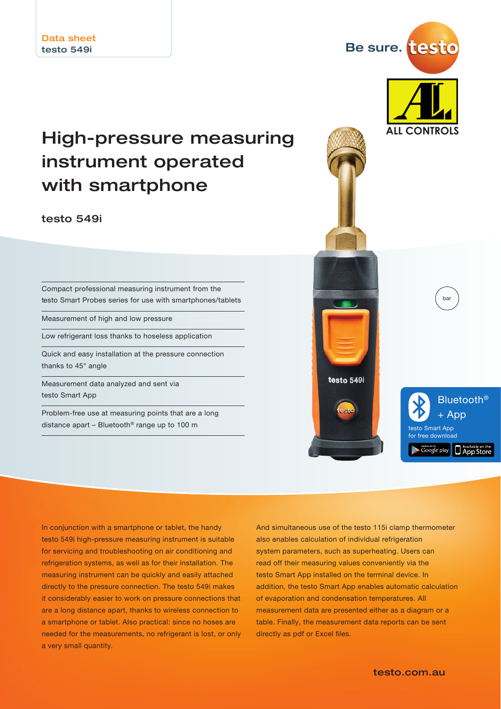# High-pressure measuring instrument operated with smartphone

testo 549i

Compact professional measuring instrument from the testo Smart Probes series for use with smartphones/tablets

Measurement of high and low pressure

Low refrigerant loss thanks to hoseless application

Quick and easy installation at the pressure connection thanks to 45° angle

Measurement data analyzed and sent via testo Smart App

Problem-free use at measuring points that are a long distance apart – Bluetooth® range up to 100 m



Be sure. testo

In conjunction with a smartphone or tablet, the handy testo 549i high-pressure measuring instrument is suitable for servicing and troubleshooting on air conditioning and refrigeration systems, as well as for their installation. The measuring instrument can be quickly and easily attached directly to the pressure connection. The testo 549i makes it considerably easier to work on pressure connections that are a long distance apart, thanks to wireless connection to a smartphone or tablet. Also practical: since no hoses are needed for the measurements, no refrigerant is lost, or only a very small quantity.

And simultaneous use of the testo 115i clamp thermometer also enables calculation of individual refrigeration system parameters, such as superheating. Users can read off their measuring values conveniently via the testo Smart App installed on the terminal device. In addition, the testo Smart App enables automatic calculation of evaporation and condensation temperatures. All measurement data are presented either as a diagram or a table. Finally, the measurement data reports can be sent directly as pdf or Excel files.